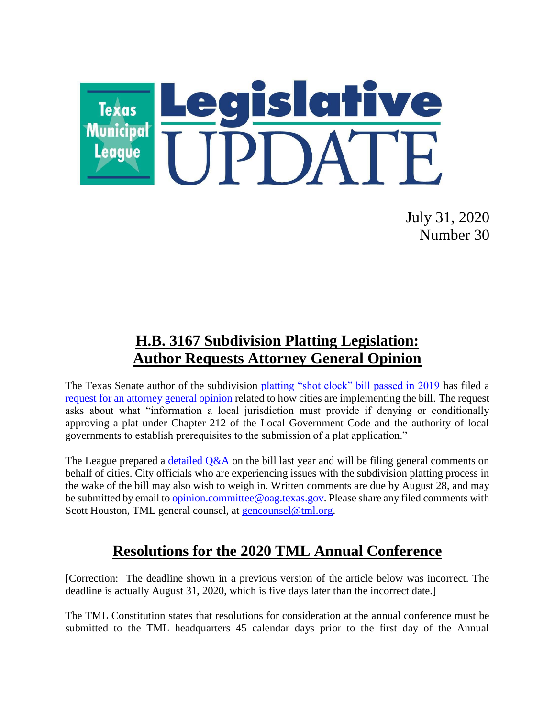

July 31, 2020 Number 30

## **H.B. 3167 Subdivision Platting Legislation: Author Requests Attorney General Opinion**

The Texas Senate author of the subdivision [platting "shot clock" bill passed in 2019](https://www.capitol.state.tx.us/BillLookup/History.aspx?LegSess=86R&Bill=HB3167) has filed a [request for an attorney general opinion](https://gcc01.safelinks.protection.outlook.com/?url=https%3A%2F%2Flnks.gd%2Fl%2FeyJhbGciOiJIUzI1NiJ9.eyJidWxsZXRpbl9saW5rX2lkIjoxMDEsInVyaSI6ImJwMjpjbGljayIsImJ1bGxldGluX2lkIjoiMjAyMDA3MzAuMjUwNjk3NTEiLCJ1cmwiOiJodHRwczovL3d3dzIudGV4YXNhdHRvcm5leWdlbmVyYWwuZ292L29waW5pb25zL29waW5pb25zLzUxcGF4dG9uL3JxLzIwMjAvcGRmL1JRMDM2N0tQLnBkZj91dG1fY29udGVudD0mdXRtX21lZGl1bT1lbWFpbCZ1dG1fbmFtZT0mdXRtX3NvdXJjZT1nb3ZkZWxpdmVyeSZ1dG1fdGVybT0ifQ.LclQQ0iTx_i89OdCH6IgNxH66E7CjfhEmPVE-mnvG-0%2Fs%2F557645031%2Fbr%2F81685076290-l&data=02%7C01%7Ckim.mickelson%40houstontx.gov%7C4c0ed212fd30477653a708d8349ce98a%7C57a85a10258b45b4a519c96c7721094c%7C1%7C1%7C637317195882207828&sdata=kkxbQRWuspvAHM8lmi0PQ9Xao804sbOrcDW%2FVPPVUxo%3D&reserved=0) related to how cities are implementing the bill. The request asks about what "information a local jurisdiction must provide if denying or conditionally approving a plat under Chapter 212 of the Local Government Code and the authority of local governments to establish prerequisites to the submission of a plat application."

The League prepared a  $delailed Q&A$  on the bill last year and will be filing general comments on behalf of cities. City officials who are experiencing issues with the subdivision platting process in the wake of the bill may also wish to weigh in. Written comments are due by August 28, and may be submitted by email to [opinion.committee@oag.texas.gov.](mailto:opinion.committee@oag.texas.gov) Please share any filed comments with Scott Houston, TML general counsel, at [gencounsel@tml.org.](mailto:gencounsel@tml.org)

## **Resolutions for the 2020 TML Annual Conference**

[Correction: The deadline shown in a previous version of the article below was incorrect. The deadline is actually August 31, 2020, which is five days later than the incorrect date.]

The TML Constitution states that resolutions for consideration at the annual conference must be submitted to the TML headquarters 45 calendar days prior to the first day of the Annual